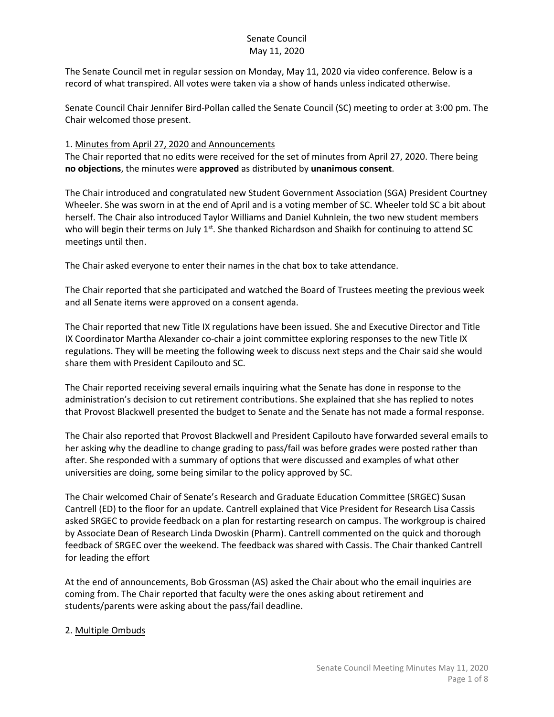The Senate Council met in regular session on Monday, May 11, 2020 via video conference. Below is a record of what transpired. All votes were taken via a show of hands unless indicated otherwise.

Senate Council Chair Jennifer Bird-Pollan called the Senate Council (SC) meeting to order at 3:00 pm. The Chair welcomed those present.

### 1. Minutes from April 27, 2020 and Announcements

The Chair reported that no edits were received for the set of minutes from April 27, 2020. There being **no objections**, the minutes were **approved** as distributed by **unanimous consent**.

The Chair introduced and congratulated new Student Government Association (SGA) President Courtney Wheeler. She was sworn in at the end of April and is a voting member of SC. Wheeler told SC a bit about herself. The Chair also introduced Taylor Williams and Daniel Kuhnlein, the two new student members who will begin their terms on July  $1^{st}$ . She thanked Richardson and Shaikh for continuing to attend SC meetings until then.

The Chair asked everyone to enter their names in the chat box to take attendance.

The Chair reported that she participated and watched the Board of Trustees meeting the previous week and all Senate items were approved on a consent agenda.

The Chair reported that new Title IX regulations have been issued. She and Executive Director and Title IX Coordinator Martha Alexander co-chair a joint committee exploring responses to the new Title IX regulations. They will be meeting the following week to discuss next steps and the Chair said she would share them with President Capilouto and SC.

The Chair reported receiving several emails inquiring what the Senate has done in response to the administration's decision to cut retirement contributions. She explained that she has replied to notes that Provost Blackwell presented the budget to Senate and the Senate has not made a formal response.

The Chair also reported that Provost Blackwell and President Capilouto have forwarded several emails to her asking why the deadline to change grading to pass/fail was before grades were posted rather than after. She responded with a summary of options that were discussed and examples of what other universities are doing, some being similar to the policy approved by SC.

The Chair welcomed Chair of Senate's Research and Graduate Education Committee (SRGEC) Susan Cantrell (ED) to the floor for an update. Cantrell explained that Vice President for Research Lisa Cassis asked SRGEC to provide feedback on a plan for restarting research on campus. The workgroup is chaired by Associate Dean of Research Linda Dwoskin (Pharm). Cantrell commented on the quick and thorough feedback of SRGEC over the weekend. The feedback was shared with Cassis. The Chair thanked Cantrell for leading the effort

At the end of announcements, Bob Grossman (AS) asked the Chair about who the email inquiries are coming from. The Chair reported that faculty were the ones asking about retirement and students/parents were asking about the pass/fail deadline.

## 2. Multiple Ombuds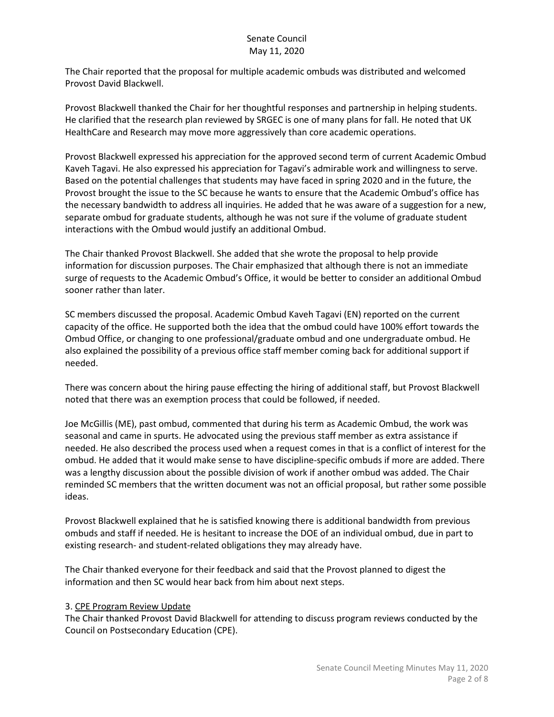The Chair reported that the proposal for multiple academic ombuds was distributed and welcomed Provost David Blackwell.

Provost Blackwell thanked the Chair for her thoughtful responses and partnership in helping students. He clarified that the research plan reviewed by SRGEC is one of many plans for fall. He noted that UK HealthCare and Research may move more aggressively than core academic operations.

Provost Blackwell expressed his appreciation for the approved second term of current Academic Ombud Kaveh Tagavi. He also expressed his appreciation for Tagavi's admirable work and willingness to serve. Based on the potential challenges that students may have faced in spring 2020 and in the future, the Provost brought the issue to the SC because he wants to ensure that the Academic Ombud's office has the necessary bandwidth to address all inquiries. He added that he was aware of a suggestion for a new, separate ombud for graduate students, although he was not sure if the volume of graduate student interactions with the Ombud would justify an additional Ombud.

The Chair thanked Provost Blackwell. She added that she wrote the proposal to help provide information for discussion purposes. The Chair emphasized that although there is not an immediate surge of requests to the Academic Ombud's Office, it would be better to consider an additional Ombud sooner rather than later.

SC members discussed the proposal. Academic Ombud Kaveh Tagavi (EN) reported on the current capacity of the office. He supported both the idea that the ombud could have 100% effort towards the Ombud Office, or changing to one professional/graduate ombud and one undergraduate ombud. He also explained the possibility of a previous office staff member coming back for additional support if needed.

There was concern about the hiring pause effecting the hiring of additional staff, but Provost Blackwell noted that there was an exemption process that could be followed, if needed.

Joe McGillis (ME), past ombud, commented that during his term as Academic Ombud, the work was seasonal and came in spurts. He advocated using the previous staff member as extra assistance if needed. He also described the process used when a request comes in that is a conflict of interest for the ombud. He added that it would make sense to have discipline-specific ombuds if more are added. There was a lengthy discussion about the possible division of work if another ombud was added. The Chair reminded SC members that the written document was not an official proposal, but rather some possible ideas.

Provost Blackwell explained that he is satisfied knowing there is additional bandwidth from previous ombuds and staff if needed. He is hesitant to increase the DOE of an individual ombud, due in part to existing research- and student-related obligations they may already have.

The Chair thanked everyone for their feedback and said that the Provost planned to digest the information and then SC would hear back from him about next steps.

### 3. CPE Program Review Update

The Chair thanked Provost David Blackwell for attending to discuss program reviews conducted by the Council on Postsecondary Education (CPE).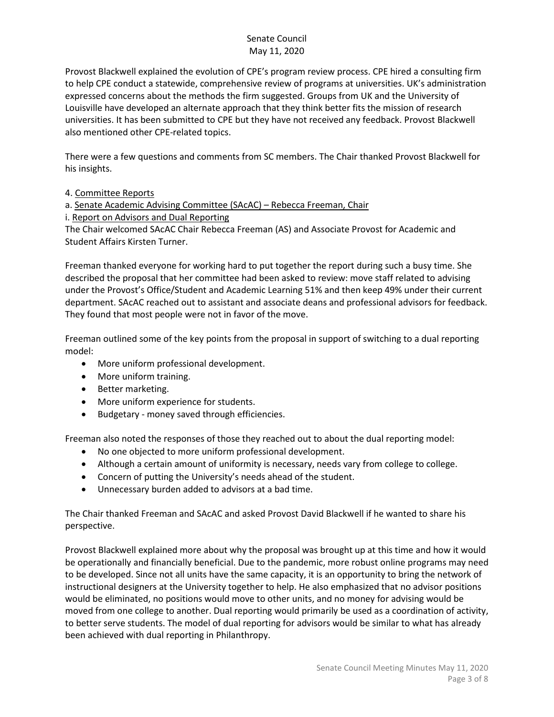Provost Blackwell explained the evolution of CPE's program review process. CPE hired a consulting firm to help CPE conduct a statewide, comprehensive review of programs at universities. UK's administration expressed concerns about the methods the firm suggested. Groups from UK and the University of Louisville have developed an alternate approach that they think better fits the mission of research universities. It has been submitted to CPE but they have not received any feedback. Provost Blackwell also mentioned other CPE-related topics.

There were a few questions and comments from SC members. The Chair thanked Provost Blackwell for his insights.

4. Committee Reports

a. Senate Academic Advising Committee (SAcAC) – Rebecca Freeman, Chair

i. Report on Advisors and Dual Reporting

The Chair welcomed SAcAC Chair Rebecca Freeman (AS) and Associate Provost for Academic and Student Affairs Kirsten Turner.

Freeman thanked everyone for working hard to put together the report during such a busy time. She described the proposal that her committee had been asked to review: move staff related to advising under the Provost's Office/Student and Academic Learning 51% and then keep 49% under their current department. SAcAC reached out to assistant and associate deans and professional advisors for feedback. They found that most people were not in favor of the move.

Freeman outlined some of the key points from the proposal in support of switching to a dual reporting model:

- More uniform professional development.
- More uniform training.
- Better marketing.
- More uniform experience for students.
- Budgetary money saved through efficiencies.

Freeman also noted the responses of those they reached out to about the dual reporting model:

- No one objected to more uniform professional development.
- Although a certain amount of uniformity is necessary, needs vary from college to college.
- Concern of putting the University's needs ahead of the student.
- Unnecessary burden added to advisors at a bad time.

The Chair thanked Freeman and SAcAC and asked Provost David Blackwell if he wanted to share his perspective.

Provost Blackwell explained more about why the proposal was brought up at this time and how it would be operationally and financially beneficial. Due to the pandemic, more robust online programs may need to be developed. Since not all units have the same capacity, it is an opportunity to bring the network of instructional designers at the University together to help. He also emphasized that no advisor positions would be eliminated, no positions would move to other units, and no money for advising would be moved from one college to another. Dual reporting would primarily be used as a coordination of activity, to better serve students. The model of dual reporting for advisors would be similar to what has already been achieved with dual reporting in Philanthropy.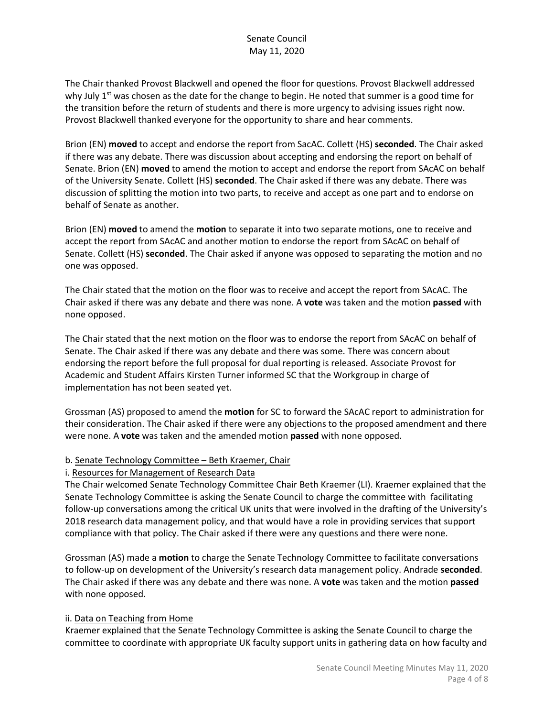The Chair thanked Provost Blackwell and opened the floor for questions. Provost Blackwell addressed why July  $1^{st}$  was chosen as the date for the change to begin. He noted that summer is a good time for the transition before the return of students and there is more urgency to advising issues right now. Provost Blackwell thanked everyone for the opportunity to share and hear comments.

Brion (EN) **moved** to accept and endorse the report from SacAC. Collett (HS) **seconded**. The Chair asked if there was any debate. There was discussion about accepting and endorsing the report on behalf of Senate. Brion (EN) **moved** to amend the motion to accept and endorse the report from SAcAC on behalf of the University Senate. Collett (HS) **seconded**. The Chair asked if there was any debate. There was discussion of splitting the motion into two parts, to receive and accept as one part and to endorse on behalf of Senate as another.

Brion (EN) **moved** to amend the **motion** to separate it into two separate motions, one to receive and accept the report from SAcAC and another motion to endorse the report from SAcAC on behalf of Senate. Collett (HS) **seconded**. The Chair asked if anyone was opposed to separating the motion and no one was opposed.

The Chair stated that the motion on the floor was to receive and accept the report from SAcAC. The Chair asked if there was any debate and there was none. A **vote** was taken and the motion **passed** with none opposed.

The Chair stated that the next motion on the floor was to endorse the report from SAcAC on behalf of Senate. The Chair asked if there was any debate and there was some. There was concern about endorsing the report before the full proposal for dual reporting is released. Associate Provost for Academic and Student Affairs Kirsten Turner informed SC that the Workgroup in charge of implementation has not been seated yet.

Grossman (AS) proposed to amend the **motion** for SC to forward the SAcAC report to administration for their consideration. The Chair asked if there were any objections to the proposed amendment and there were none. A **vote** was taken and the amended motion **passed** with none opposed.

### b. Senate Technology Committee – Beth Kraemer, Chair

### i. Resources for Management of Research Data

The Chair welcomed Senate Technology Committee Chair Beth Kraemer (LI). Kraemer explained that the Senate Technology Committee is asking the Senate Council to charge the committee with facilitating follow-up conversations among the critical UK units that were involved in the drafting of the University's 2018 research data management policy, and that would have a role in providing services that support compliance with that policy. The Chair asked if there were any questions and there were none.

Grossman (AS) made a **motion** to charge the Senate Technology Committee to facilitate conversations to follow-up on development of the University's research data management policy. Andrade **seconded**. The Chair asked if there was any debate and there was none. A **vote** was taken and the motion **passed** with none opposed.

### ii. Data on Teaching from Home

Kraemer explained that the Senate Technology Committee is asking the Senate Council to charge the committee to coordinate with appropriate UK faculty support units in gathering data on how faculty and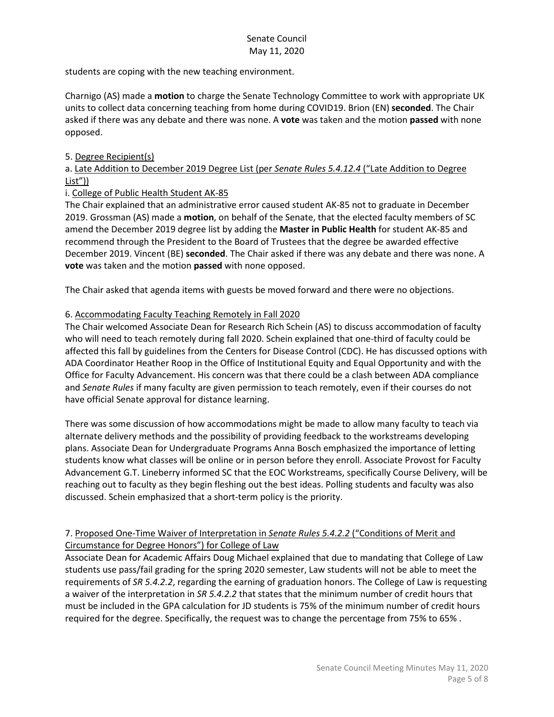students are coping with the new teaching environment.

Charnigo (AS) made a **motion** to charge the Senate Technology Committee to work with appropriate UK units to collect data concerning teaching from home during COVID19. Brion (EN) **seconded**. The Chair asked if there was any debate and there was none. A **vote** was taken and the motion **passed** with none opposed.

### 5. Degree Recipient(s)

## a. Late Addition to December 2019 Degree List (per *Senate Rules 5.4.12.4* ("Late Addition to Degree List"))

### i. College of Public Health Student AK-85

The Chair explained that an administrative error caused student AK-85 not to graduate in December 2019. Grossman (AS) made a **motion**, on behalf of the Senate, that the elected faculty members of SC amend the December 2019 degree list by adding the **Master in Public Health** for student AK-85 and recommend through the President to the Board of Trustees that the degree be awarded effective December 2019. Vincent (BE) **seconded**. The Chair asked if there was any debate and there was none. A **vote** was taken and the motion **passed** with none opposed.

The Chair asked that agenda items with guests be moved forward and there were no objections.

## 6. Accommodating Faculty Teaching Remotely in Fall 2020

The Chair welcomed Associate Dean for Research Rich Schein (AS) to discuss accommodation of faculty who will need to teach remotely during fall 2020. Schein explained that one-third of faculty could be affected this fall by guidelines from the Centers for Disease Control (CDC). He has discussed options with ADA Coordinator Heather Roop in the Office of Institutional Equity and Equal Opportunity and with the Office for Faculty Advancement. His concern was that there could be a clash between ADA compliance and *Senate Rules* if many faculty are given permission to teach remotely, even if their courses do not have official Senate approval for distance learning.

There was some discussion of how accommodations might be made to allow many faculty to teach via alternate delivery methods and the possibility of providing feedback to the workstreams developing plans. Associate Dean for Undergraduate Programs Anna Bosch emphasized the importance of letting students know what classes will be online or in person before they enroll. Associate Provost for Faculty Advancement G.T. Lineberry informed SC that the EOC Workstreams, specifically Course Delivery, will be reaching out to faculty as they begin fleshing out the best ideas. Polling students and faculty was also discussed. Schein emphasized that a short-term policy is the priority.

## 7. Proposed One-Time Waiver of Interpretation in *Senate Rules 5.4.2.2* ("Conditions of Merit and Circumstance for Degree Honors") for College of Law

Associate Dean for Academic Affairs Doug Michael explained that due to mandating that College of Law students use pass/fail grading for the spring 2020 semester, Law students will not be able to meet the requirements of *SR 5.4.2.2*, regarding the earning of graduation honors. The College of Law is requesting a waiver of the interpretation in *SR 5.4.2.2* that states that the minimum number of credit hours that must be included in the GPA calculation for JD students is 75% of the minimum number of credit hours required for the degree. Specifically, the request was to change the percentage from 75% to 65% .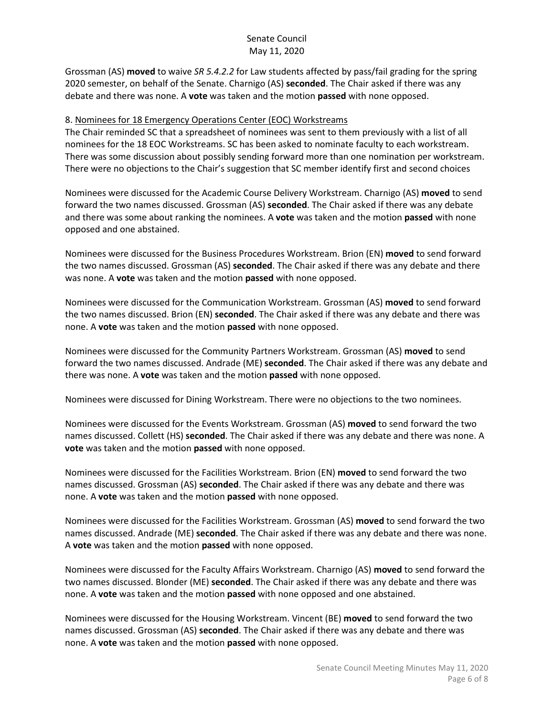Grossman (AS) **moved** to waive *SR 5.4.2.2* for Law students affected by pass/fail grading for the spring 2020 semester, on behalf of the Senate. Charnigo (AS) **seconded**. The Chair asked if there was any debate and there was none. A **vote** was taken and the motion **passed** with none opposed.

### 8. Nominees for 18 Emergency Operations Center (EOC) Workstreams

The Chair reminded SC that a spreadsheet of nominees was sent to them previously with a list of all nominees for the 18 EOC Workstreams. SC has been asked to nominate faculty to each workstream. There was some discussion about possibly sending forward more than one nomination per workstream. There were no objections to the Chair's suggestion that SC member identify first and second choices

Nominees were discussed for the Academic Course Delivery Workstream. Charnigo (AS) **moved** to send forward the two names discussed. Grossman (AS) **seconded**. The Chair asked if there was any debate and there was some about ranking the nominees. A **vote** was taken and the motion **passed** with none opposed and one abstained.

Nominees were discussed for the Business Procedures Workstream. Brion (EN) **moved** to send forward the two names discussed. Grossman (AS) **seconded**. The Chair asked if there was any debate and there was none. A **vote** was taken and the motion **passed** with none opposed.

Nominees were discussed for the Communication Workstream. Grossman (AS) **moved** to send forward the two names discussed. Brion (EN) **seconded**. The Chair asked if there was any debate and there was none. A **vote** was taken and the motion **passed** with none opposed.

Nominees were discussed for the Community Partners Workstream. Grossman (AS) **moved** to send forward the two names discussed. Andrade (ME) **seconded**. The Chair asked if there was any debate and there was none. A **vote** was taken and the motion **passed** with none opposed.

Nominees were discussed for Dining Workstream. There were no objections to the two nominees.

Nominees were discussed for the Events Workstream. Grossman (AS) **moved** to send forward the two names discussed. Collett (HS) **seconded**. The Chair asked if there was any debate and there was none. A **vote** was taken and the motion **passed** with none opposed.

Nominees were discussed for the Facilities Workstream. Brion (EN) **moved** to send forward the two names discussed. Grossman (AS) **seconded**. The Chair asked if there was any debate and there was none. A **vote** was taken and the motion **passed** with none opposed.

Nominees were discussed for the Facilities Workstream. Grossman (AS) **moved** to send forward the two names discussed. Andrade (ME) **seconded**. The Chair asked if there was any debate and there was none. A **vote** was taken and the motion **passed** with none opposed.

Nominees were discussed for the Faculty Affairs Workstream. Charnigo (AS) **moved** to send forward the two names discussed. Blonder (ME) **seconded**. The Chair asked if there was any debate and there was none. A **vote** was taken and the motion **passed** with none opposed and one abstained.

Nominees were discussed for the Housing Workstream. Vincent (BE) **moved** to send forward the two names discussed. Grossman (AS) **seconded**. The Chair asked if there was any debate and there was none. A **vote** was taken and the motion **passed** with none opposed.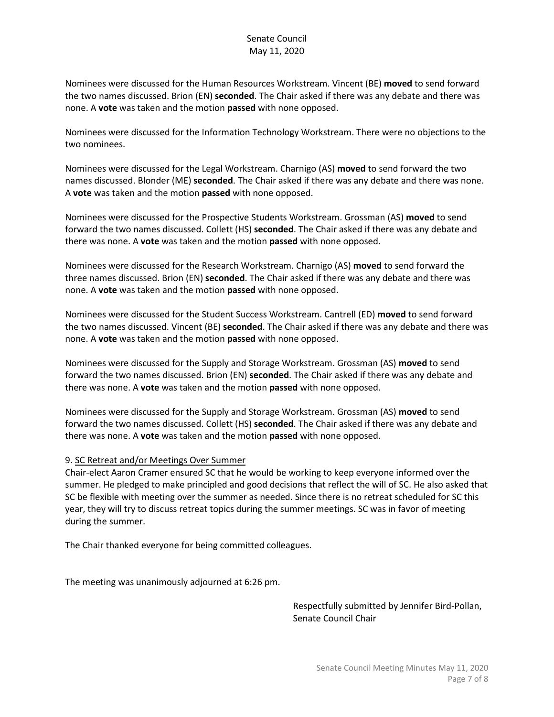Nominees were discussed for the Human Resources Workstream. Vincent (BE) **moved** to send forward the two names discussed. Brion (EN) **seconded**. The Chair asked if there was any debate and there was none. A **vote** was taken and the motion **passed** with none opposed.

Nominees were discussed for the Information Technology Workstream. There were no objections to the two nominees.

Nominees were discussed for the Legal Workstream. Charnigo (AS) **moved** to send forward the two names discussed. Blonder (ME) **seconded**. The Chair asked if there was any debate and there was none. A **vote** was taken and the motion **passed** with none opposed.

Nominees were discussed for the Prospective Students Workstream. Grossman (AS) **moved** to send forward the two names discussed. Collett (HS) **seconded**. The Chair asked if there was any debate and there was none. A **vote** was taken and the motion **passed** with none opposed.

Nominees were discussed for the Research Workstream. Charnigo (AS) **moved** to send forward the three names discussed. Brion (EN) **seconded**. The Chair asked if there was any debate and there was none. A **vote** was taken and the motion **passed** with none opposed.

Nominees were discussed for the Student Success Workstream. Cantrell (ED) **moved** to send forward the two names discussed. Vincent (BE) **seconded**. The Chair asked if there was any debate and there was none. A **vote** was taken and the motion **passed** with none opposed.

Nominees were discussed for the Supply and Storage Workstream. Grossman (AS) **moved** to send forward the two names discussed. Brion (EN) **seconded**. The Chair asked if there was any debate and there was none. A **vote** was taken and the motion **passed** with none opposed.

Nominees were discussed for the Supply and Storage Workstream. Grossman (AS) **moved** to send forward the two names discussed. Collett (HS) **seconded**. The Chair asked if there was any debate and there was none. A **vote** was taken and the motion **passed** with none opposed.

### 9. SC Retreat and/or Meetings Over Summer

Chair-elect Aaron Cramer ensured SC that he would be working to keep everyone informed over the summer. He pledged to make principled and good decisions that reflect the will of SC. He also asked that SC be flexible with meeting over the summer as needed. Since there is no retreat scheduled for SC this year, they will try to discuss retreat topics during the summer meetings. SC was in favor of meeting during the summer.

The Chair thanked everyone for being committed colleagues.

The meeting was unanimously adjourned at 6:26 pm.

Respectfully submitted by Jennifer Bird-Pollan, Senate Council Chair